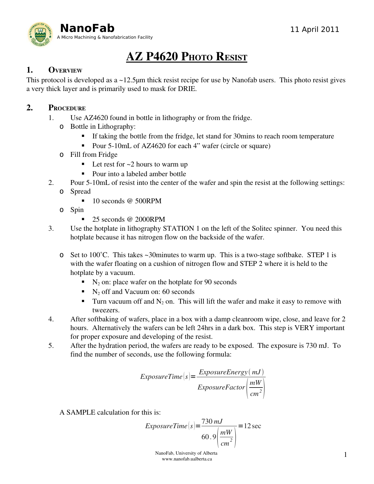

# AZ P4620 PHOTO RESIST

# 1. OVERVIEW

This protocol is developed as a ~12.5μm thick resist recipe for use by Nanofab users. This photo resist gives a very thick layer and is primarily used to mask for DRIE.

## 2. PROCEDURE

- 1. Use AZ4620 found in bottle in lithography or from the fridge.
	- o Bottle in Lithography:
		- If taking the bottle from the fridge, let stand for 30mins to reach room temperature
		- Pour 5-10mL of AZ4620 for each 4" wafer (circle or square)
	- o Fill from Fridge
		- $\blacksquare$  Let rest for  $\sim$  2 hours to warm up
		- Pour into a labeled amber bottle
- 2. Pour 5-10mL of resist into the center of the wafer and spin the resist at the following settings: o Spread
	- 10 seconds @ 500RPM
	- o Spin
		- 25 seconds @ 2000RPM
- 3. Use the hotplate in lithography STATION 1 on the left of the Solitec spinner. You need this hotplate because it has nitrogen flow on the backside of the wafer.
	- **o** Set to 100°C. This takes  $\sim$  30 minutes to warm up. This is a two-stage softbake. STEP 1 is with the wafer floating on a cushion of nitrogen flow and STEP 2 where it is held to the hotplate by a vacuum.
		- $\blacksquare$  N<sub>2</sub> on: place wafer on the hotplate for 90 seconds
		- $\blacksquare$  N<sub>2</sub> off and Vacuum on: 60 seconds
		- Turn vacuum off and  $N_2$  on. This will lift the wafer and make it easy to remove with tweezers.
- 4. After softbaking of wafers, place in a box with a damp cleanroom wipe, close, and leave for 2 hours. Alternatively the wafers can be left 24hrs in a dark box. This step is VERY important for proper exposure and developing of the resist.
- 5. After the hydration period, the wafers are ready to be exposed. The exposure is 730 mJ. To find the number of seconds, use the following formula:

$$
ExposureTime(s) = \frac{ExposureEnergy(mJ)}{ExposureFactor\left(\frac{mW}{cm^2}\right)}
$$

A SAMPLE calculation for this is:

$$
ExposureTime(s) = \frac{730 \, \text{mJ}}{60.9 \left(\frac{\text{mW}}{\text{cm}^2}\right)} = 12 \, \text{sec}
$$

 NanoFab, University of Alberta www.nanofab.ualberta.ca